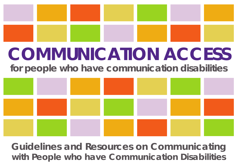

# **COMMUNICATION ACCESS**

**for people who have communication disabilities**



**Guidelines and Resources on Communicating with People who have Communication Disabilities**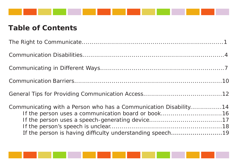

### **Table of Contents**

| Communicating with a Person who has a Communication Disability14<br>If the person uses a communication board or book16<br>If the person is having difficulty understanding speech19 |  |
|-------------------------------------------------------------------------------------------------------------------------------------------------------------------------------------|--|

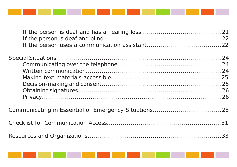

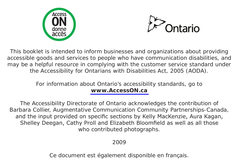



This booklet is intended to inform businesses and organizations about providing accessible goods and services to people who have communication disabilities, and may be a helpful resource in complying with the customer service standard under the Accessibility for Ontarians with Disabilities Act, 2005 (AODA).

#### For information about Ontario's accessibility standards, go to **[www.AccessON.ca](www.accesson.ca)**

The Accessibility Directorate of Ontario acknowledges the contribution of Barbara Collier, Augmentative Communication Community Partnerships-Canada, and the input provided on specific sections by Kelly MacKenzie, Aura Kagan, Shelley Deegan, Cathy Proll and Elizabeth Bloomfield as well as all those who contributed photographs.

#### 2009

Ce document est également disponible en français.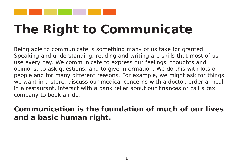

### **The Right to Communicate**

Being able to communicate is something many of us take for granted. Speaking and understanding, reading and writing are skills that most of us use every day. We communicate to express our feelings, thoughts and opinions, to ask questions, and to give information. We do this with lots of people and for many different reasons. For example, we might ask for things we want in a store, discuss our medical concerns with a doctor, order a meal in a restaurant, interact with a bank teller about our finances or call a taxi company to book a ride.

### **Communication is the foundation of much of our lives and a basic human right.**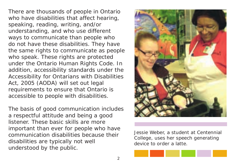There are thousands of people in Ontario who have disabilities that affect hearing, speaking, reading, writing, and/or understanding, and who use different ways to communicate than people who do not have these disabilities. They have the same rights to communicate as people who speak. These rights are protected under the Ontario Human Rights Code. In addition, accessibility standards under the Accessibility for Ontarians with Disabilities Act, 2005 (AODA) will set out legal requirements to ensure that Ontario is accessible to people with disabilities.

The basis of good communication includes a respectful attitude and being a good listener. These basic skills are more important than ever for people who have communication disabilities because their disabilities are typically not well understood by the public.



Jessie Weber, a student at Centennial College, uses her speech generating device to order a latte.

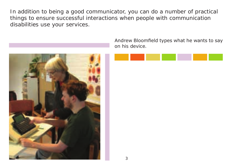In addition to being a good communicator, you can do a number of practical things to ensure successful interactions when people with communication disabilities use your services.



Andrew Bloomfield types what he wants to say on his device.

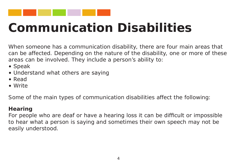

### **Communication Disabilities**

When someone has a communication disability, there are four main areas that can be affected. Depending on the nature of the disability, one or more of these areas can be involved. They include a person's ability to:

- Speak
- Understand what others are saying
- Read
- Write

Some of the main types of communication disabilities affect the following:

#### **Hearing**

For people who are deaf or have a hearing loss it can be difficult or impossible to hear what a person is saying and sometimes their own speech may not be easily understood.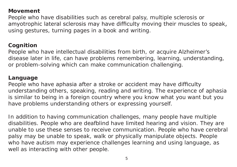#### **Movement**

People who have disabilities such as cerebral palsy, multiple sclerosis or amyotrophic lateral sclerosis may have difficulty moving their muscles to speak, using gestures, turning pages in a book and writing.

#### **Cognition**

People who have intellectual disabilities from birth, or acquire Alzheimer's disease later in life, can have problems remembering, learning, understanding, or problem-solving which can make communication challenging.

#### **Language**

People who have aphasia after a stroke or accident may have difficulty understanding others, speaking, reading and writing. The experience of aphasia is similar to being in a foreign country where you know what you want but you have problems understanding others or expressing yourself.

In addition to having communication challenges, many people have multiple disabilities. People who are deafblind have limited hearing and vision. They are unable to use these senses to receive communication. People who have cerebral palsy may be unable to speak, walk or physically manipulate objects. People who have autism may experience challenges learning and using language, as well as interacting with other people.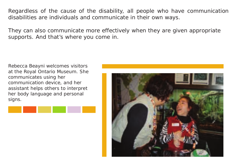Regardless of the cause of the disability, all people who have communication disabilities are individuals and communicate in their own ways.

They can also communicate more effectively when they are given appropriate supports. And that's where you come in.

Rebecca Beayni welcomes visitors at the Royal Ontario Museum. She communicates using her communication device, and her assistant helps others to interpret her body language and personal signs.



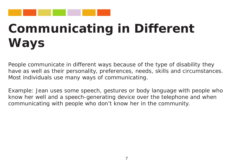

# **Communicating in Different Ways**

People communicate in different ways because of the type of disability they have as well as their personality, preferences, needs, skills and circumstances. Most individuals use many ways of communicating.

Example: Jean uses some speech, gestures or body language with people who know her well and a speech-generating device over the telephone and when communicating with people who don't know her in the community.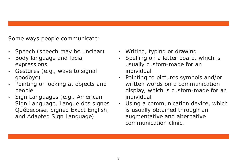Some ways people communicate:

- Speech (speech may be unclear)
- Body language and facial expressions
- Gestures (e.g., wave to signal goodbye)
- Pointing or looking at objects and people
- Sign Languages (e.g., American Sign Language, Langue des signes Québécoise, Signed Exact English, and Adapted Sign Language)
- Writing, typing or drawing
- Spelling on a letter board, which is usually custom-made for an individual
- • Pointing to pictures symbols and/or written words on a communication display, which is custom-made for an individual
- Using a communication device, which is usually obtained through an augmentative and alternative communication clinic.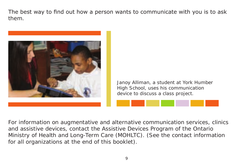The best way to find out how a person wants to communicate with you is to ask them.



Janoy Alliman, a student at York Humber High School, uses his communication device to discuss a class project.

For information on augmentative and alternative communication services, clinics and assistive devices, contact the Assistive Devices Program of the Ontario Ministry of Health and Long-Term Care (MOHLTC). (See the contact information for all organizations at the end of this booklet).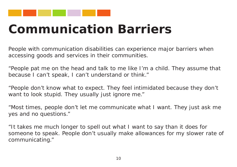

### **Communication Barriers**

People with communication disabilities can experience major barriers when accessing goods and services in their communities.

"People pat me on the head and talk to me like I'm a child. They assume that because I can't speak, I can't understand or think."

"People don't know what to expect. They feel intimidated because they don't want to look stupid. They usually just ignore me."

"Most times, people don't let me communicate what I want. They just ask me yes and no questions."

"It takes me much longer to spell out what I want to say than it does for someone to speak. People don't usually make allowances for my slower rate of communicating."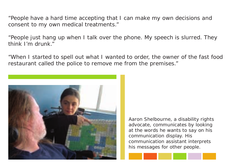"People have a hard time accepting that I can make my own decisions and consent to my own medical treatments."

"People just hang up when I talk over the phone. My speech is slurred. They think I'm drunk."

"When I started to spell out what I wanted to order, the owner of the fast food restaurant called the police to remove me from the premises."



Aaron Shelbourne, a disability rights advocate, communicates by looking at the words he wants to say on his communication display. His communication assistant interprets his messages for other people.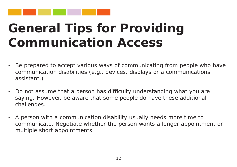

### **General Tips for Providing Communication Access**

- Be prepared to accept various ways of communicating from people who have communication disabilities (e.g., devices, displays or a communications assistant.)
- Do not assume that a person has difficulty understanding what you are saying. However, be aware that some people do have these additional challenges.
- A person with a communication disability usually needs more time to communicate. Negotiate whether the person wants a longer appointment or multiple short appointments.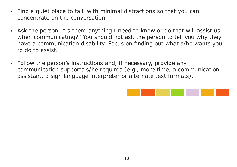- Find a quiet place to talk with minimal distractions so that you can concentrate on the conversation.
- Ask the person: "Is there anything I need to know or do that will assist us when communicating?" You should not ask the person to tell you why they have a communication disability. Focus on finding out what s/he wants you to do to assist.
- Follow the person's instructions and, if necessary, provide any communication supports s/he requires (e.g., more time, a communication assistant, a sign language interpreter or alternate text formats).

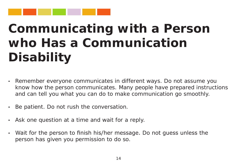

## **Communicating with a Person who Has a Communication Disability**

- Remember everyone communicates in different ways. Do not assume you know how the person communicates. Many people have prepared instructions and can tell you what you can do to make communication go smoothly.
- Be patient. Do not rush the conversation.
- Ask one question at a time and wait for a reply.
- Wait for the person to finish his/her message. Do not guess unless the person has given you permission to do so.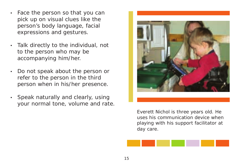- Face the person so that you can pick up on visual clues like the person's body language, facial expressions and gestures.
- • Talk directly to the individual, not to the person who may be accompanying him/her.
- Do not speak about the person or refer to the person in the third person when in his/her presence.
- Speak naturally and clearly, using your normal tone, volume and rate.



Everett Nichol is three years old. He uses his communication device when playing with his support facilitator at day care.

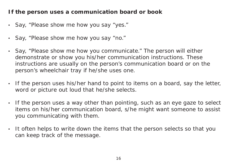#### **If the person uses a communication board or book**

- Say, "Please show me how you say "yes."
- Say, "Please show me how you say "no."
- Say, "Please show me how you communicate." The person will either demonstrate or show you his/her communication instructions. These instructions are usually on the person's communication board or on the person's wheelchair tray if he/she uses one.
- If the person uses his/her hand to point to items on a board, say the letter, word or picture out loud that he/she selects.
- If the person uses a way other than pointing, such as an eye gaze to select items on his/her communication board, s/he might want someone to assist you communicating with them.
- It often helps to write down the items that the person selects so that you can keep track of the message.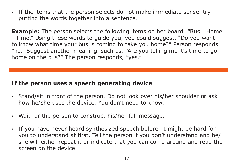• If the items that the person selects do not make immediate sense, try putting the words together into a sentence.

**Example:** The person selects the following items on her board: "Bus - Home - Time." Using these words to guide you, you could suggest, "Do you want to know what time your bus is coming to take you home?" Person responds, "no." Suggest another meaning, such as, "Are you telling me it's time to go home on the bus?" The person responds, "yes."

#### **If the person uses a speech generating device**

- Stand/sit in front of the person. Do not look over his/her shoulder or ask how he/she uses the device. You don't need to know.
- Wait for the person to construct his/her full message.
- If you have never heard synthesized speech before, it might be hard for you to understand at first. Tell the person if you don't understand and he/ she will either repeat it or indicate that you can come around and read the screen on the device.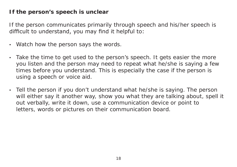#### **If the person's speech is unclear**

If the person communicates primarily through speech and his/her speech is difficult to understand, you may find it helpful to:

- Watch how the person says the words.
- Take the time to get used to the person's speech. It gets easier the more you listen and the person may need to repeat what he/she is saying a few times before you understand. This is especially the case if the person is using a speech or voice aid.
- Tell the person if you don't understand what he/she is saying. The person will either say it another way, show you what they are talking about, spell it out verbally, write it down, use a communication device or point to letters, words or pictures on their communication board.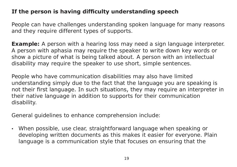#### **If the person is having difficulty understanding speech**

People can have challenges understanding spoken language for many reasons and they require different types of supports.

**Example:** A person with a hearing loss may need a sign language interpreter. A person with aphasia may require the speaker to write down key words or show a picture of what is being talked about. A person with an intellectual disability may require the speaker to use short, simple sentences.

People who have communication disabilities may also have limited understanding simply due to the fact that the language you are speaking is not their first language. In such situations, they may require an interpreter in their native language in addition to supports for their communication disability.

General guidelines to enhance comprehension include:

• When possible, use clear, straightforward language when speaking or developing written documents as this makes it easier for everyone. Plain language is a communication style that focuses on ensuring that the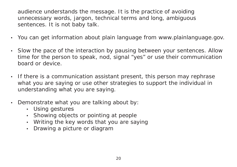audience understands the message. It is the practice of avoiding unnecessary words, jargon, technical terms and long, ambiguous sentences. It is not baby talk.

- You can get information about plain language from www.plainlanguage.gov.
- Slow the pace of the interaction by pausing between your sentences. Allow time for the person to speak, nod, signal "yes" or use their communication board or device.
- If there is a communication assistant present, this person may rephrase what you are saying or use other strategies to support the individual in understanding what you are saying.
- Demonstrate what you are talking about by:
	- Using gestures
	- • Showing objects or pointing at people
	- Writing the key words that you are saying
	- Drawing a picture or diagram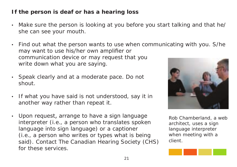#### **If the person is deaf or has a hearing loss**

- Make sure the person is looking at you before you start talking and that he/ she can see your mouth.
- Find out what the person wants to use when communicating with you. S/he may want to use his/her own amplifier or communication device or may request that you write down what you are saying.
- Speak clearly and at a moderate pace. Do not shout.
- If what you have said is not understood, say it in another way rather than repeat it.
- Upon request, arrange to have a sign language interpreter (i.e., a person who translates spoken language into sign language) or a captioner (i.e., a person who writes or types what is being said). Contact The Canadian Hearing Society (CHS) for these services.



Rob Chamberland, a web architect, uses a sign language interpreter when meeting with a client.

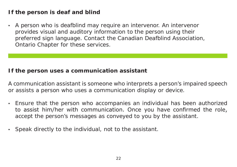#### **If the person is deaf and blind**

• A person who is deafblind may require an intervenor. An intervenor provides visual and auditory information to the person using their preferred sign language. Contact the Canadian Deafblind Association, Ontario Chapter for these services.

#### **If the person uses a communication assistant**

A communication assistant is someone who interprets a person's impaired speech or assists a person who uses a communication display or device.

- Ensure that the person who accompanies an individual has been authorized to assist him/her with communication. Once you have confirmed the role, accept the person's messages as conveyed to you by the assistant.
- Speak directly to the individual, not to the assistant.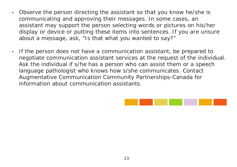- Observe the person directing the assistant so that you know he/she is communicating and approving their messages. In some cases, an assistant may support the person selecting words or pictures on his/her display or device or putting these items into sentences. If you are unsure about a message, ask, "Is that what you wanted to say?"
- If the person does not have a communication assistant, be prepared to negotiate communication assistant services at the request of the individual. Ask the individual if s/he has a person who can assist them or a speech language pathologist who knows how s/she communicates. Contact Augmentative Communication Community Partnerships-Canada for information about communication assistants.

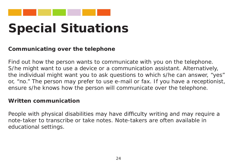

### **Special Situations**

#### **Communicating over the telephone**

Find out how the person wants to communicate with you on the telephone. S/he might want to use a device or a communication assistant. Alternatively, the individual might want you to ask questions to which s/he can answer, "yes" or, "no." The person may prefer to use e-mail or fax. If you have a receptionist, ensure s/he knows how the person will communicate over the telephone.

#### **Written communication**

People with physical disabilities may have difficulty writing and may require a note-taker to transcribe or take notes. Note-takers are often available in educational settings.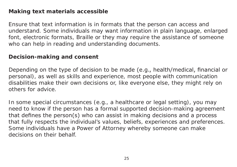#### **Making text materials accessible**

Ensure that text information is in formats that the person can access and understand. Some individuals may want information in plain language, enlarged font, electronic formats, Braille or they may require the assistance of someone who can help in reading and understanding documents.

#### **Decision-making and consent**

Depending on the type of decision to be made (e.g., health/medical, financial or personal), as well as skills and experience, most people with communication disabilities make their own decisions or, like everyone else, they might rely on others for advice.

In some special circumstances (e.g., a healthcare or legal setting), you may need to know if the person has a formal supported decision-making agreement that defines the person(s) who can assist in making decisions and a process that fully respects the individual's values, beliefs, experiences and preferences. Some individuals have a Power of Attorney whereby someone can make decisions on their behalf.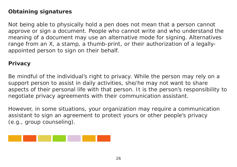#### **Obtaining signatures**

Not being able to physically hold a pen does not mean that a person cannot approve or sign a document. People who cannot write and who understand the meaning of a document may use an alternative mode for signing. Alternatives range from an X, a stamp, a thumb-print, or their authorization of a legallyappointed person to sign on their behalf.

#### **Privacy**

Be mindful of the individual's right to privacy. While the person may rely on a support person to assist in daily activities, she/he may not want to share aspects of their personal life with that person. It is the person's responsibility to negotiate privacy agreements with their communication assistant.

However, in some situations, your organization may require a communication assistant to sign an agreement to protect yours or other people's privacy (e.g., group counseling).

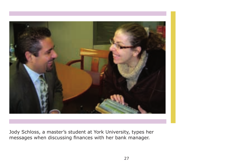

Jody Schloss, a master's student at York University, types her messages when discussing finances with her bank manager.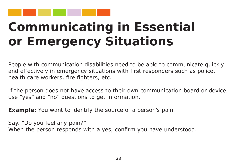

### **Communicating in Essential or Emergency Situations**

People with communication disabilities need to be able to communicate quickly and effectively in emergency situations with first responders such as police, health care workers, fire fighters, etc.

If the person does not have access to their own communication board or device, use "yes" and "no" questions to get information.

**Example:** You want to identify the source of a person's pain.

Say, "Do you feel any pain?" When the person responds with a yes, confirm you have understood.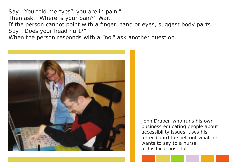Say, "You told me "yes", you are in pain." Then ask, "Where is your pain?" Wait. If the person cannot point with a finger, hand or eyes, suggest body parts. Say, "Does your head hurt?"

When the person responds with a "no," ask another question.



John Draper, who runs his own business educating people about accessibility issues, uses his letter board to spell out what he wants to say to a nurse at his local hospital.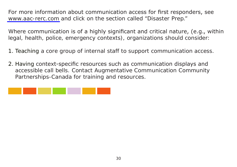For more information about communication access for first responders, see <www.aac-rerc.com>and click on the section called "Disaster Prep."

Where communication is of a highly significant and critical nature, (e.g., within legal, health, police, emergency contexts), organizations should consider:

- 1. Teaching a core group of internal staff to support communication access.
- 2. Having context-specific resources such as communication displays and accessible call bells. Contact Augmentative Communication Community Partnerships-Canada for training and resources.

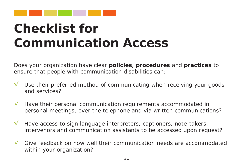

### **Checklist for Communication Access**

Does your organization have clear **policies**, **procedures** and **practices** to ensure that people with communication disabilities can:

- Use their preferred method of communicating when receiving your goods and services? √
- Have their personal communication requirements accommodated in personal meetings, over the telephone and via written communications? √
- Have access to sign language interpreters, captioners, note-takers, intervenors and communication assistants to be accessed upon request? √
- Give feedback on how well their communication needs are accommodated within your organization? √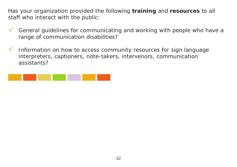Has your organization provided the following **training** and **resources** to all staff who interact with the public:

- General guidelines for communicating and working with people who have a range of communication disabilities? √
- Information on how to access community resources for sign language interpreters, captioners, note-takers, intervenors, communication assistants? √

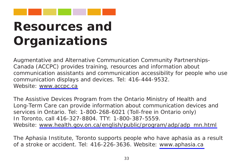

### **Resources and Organizations**

Augmentative and Alternative Communication Community Partnerships-Canada (ACCPC) provides training, resources and information about communication assistants and communication accessibility for people who use communication displays and devices. Tel: 416-444-9532. Website: <www.accpc.ca>

The Assistive Devices Program from the Ontario Ministry of Health and Long-Term Care can provide information about communication devices and services in Ontario. Tel: 1-800-268-6021 (Toll-free in Ontario only) In Toronto, call 416-327-8804. TTY: 1-800-387-5559. Website: [www.health.gov.on.ca/english/public/program/adp/adp\\_mn.html](www.health.gov.on.ca/english/public/program/adp/adp_mn.html)

The Aphasia Institute, Toronto supports people who have aphasia as a result of a stroke or accident. Tel: 416-226-3636. Website: <www.aphasia.ca>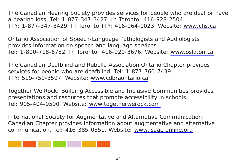The Canadian Hearing Society provides services for people who are deaf or have a hearing loss. Tel: 1-877-347-3427. In Toronto: 416-928-2504. TTY: 1-877-347-3429. In Toronto TTY: 416-964-0023. Website:<www.chs.ca>

Ontario Association of Speech-Language Pathologists and Audiologists provides information on speech and language services. Tel: 1-800-718-6752. In Toronto: 416-920-3676. Website:<www.osla.on.ca>

The Canadian Deafblind and Rubella Association Ontario Chapter provides services for people who are deafblind. Tel: 1-877-760-7439. TTY: 519-759-3597. Website: <www.cdbraontario.ca>

Together We Rock: Building Accessible and Inclusive Communities provides presentations and resources that promote accessibility in schools. Tel: 905-404-9590. Website:<www.togetherwerock.com>

International Society for Augmentative and Alternative Communication: Canadian Chapter provides information about augmentative and alternative communication. Tel: 416-385-0351. Website: <www.isaac-online.org>